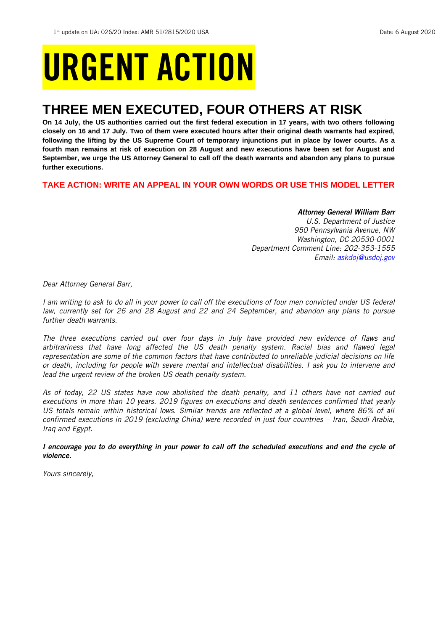# URGENT ACTION

## **THREE MEN EXECUTED, FOUR OTHERS AT RISK**

**On 14 July, the US authorities carried out the first federal execution in 17 years, with two others following closely on 16 and 17 July. Two of them were executed hours after their original death warrants had expired, following the lifting by the US Supreme Court of temporary injunctions put in place by lower courts. As a fourth man remains at risk of execution on 28 August and new executions have been set for August and September, we urge the US Attorney General to call off the death warrants and abandon any plans to pursue further executions.** 

#### **TAKE ACTION: WRITE AN APPEAL IN YOUR OWN WORDS OR USE THIS MODEL LETTER**

#### *Attorney General William Barr*

*U.S. Department of Justice 950 Pennsylvania Avenue, NW Washington, DC 20530-0001 Department Comment Line: 202-353-1555 Email: [askdoj@usdoj.gov](mailto:askdoj@usdoj.gov)*

*Dear Attorney General Barr,*

*I am writing to ask to do all in your power to call off the executions of four men convicted under US federal law, currently set for 26 and 28 August and 22 and 24 September, and abandon any plans to pursue further death warrants.* 

*The three executions carried out over four days in July have provided new evidence of flaws and arbitrariness that have long affected the US death penalty system. Racial bias and flawed legal representation are some of the common factors that have contributed to unreliable judicial decisions on life or death, including for people with severe mental and intellectual disabilities. I ask you to intervene and*  lead the urgent review of the broken US death penalty system.

*As of today, 22 US states have now abolished the death penalty, and 11 others have not carried out executions in more than 10 years. 2019 figures on executions and death sentences confirmed that yearly US totals remain within historical lows. Similar trends are reflected at a global level, where 86% of all confirmed executions in 2019 (excluding China) were recorded in just four countries – Iran, Saudi Arabia, Iraq and Egypt.*

*I encourage you to do everything in your power to call off the scheduled executions and end the cycle of violence.* 

*Yours sincerely,*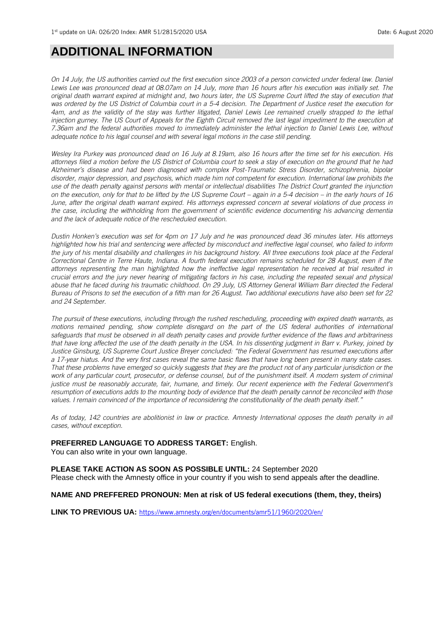### **ADDITIONAL INFORMATION**

*On 14 July, the US authorities carried out the first execution since 2003 of a person convicted under federal law. Daniel Lewis Lee was pronounced dead at 08.07am on 14 July, more than 16 hours after his execution was initially set. The original death warrant expired at midnight and, two hours later, the US Supreme Court lifted the stay of execution that was ordered by the US District of Columbia court in a 5-4 decision. The Department of Justice reset the execution for 4am, and as the validity of the stay was further litigated, Daniel Lewis Lee remained cruelly strapped to the lethal injection gurney. The US Court of Appeals for the Eighth Circuit removed the last legal impediment to the execution at 7.36am and the federal authorities moved to immediately administer the lethal injection to Daniel Lewis Lee, without adequate notice to his legal counsel and with several legal motions in the case still pending.*

*Wesley Ira Purkey was pronounced dead on 16 July at 8.19am, also 16 hours after the time set for his execution. His attorneys filed a motion before the US District of Columbia court to seek a stay of execution on the ground that he had Alzheimer's disease and had been diagnosed with complex Post-Traumatic Stress Disorder, schizophrenia, bipolar disorder, major depression, and psychosis, which made him not competent for execution. International law prohibits the use of the death penalty against persons with mental or intellectual disabilities The District Court granted the injunction on the execution, only for that to be lifted by the US Supreme Court – again in a 5-4 decision – in the early hours of 16 June, after the original death warrant expired. His attorneys expressed concern at several violations of due process in the case, including the withholding from the government of scientific evidence documenting his advancing dementia and the lack of adequate notice of the rescheduled execution.*

*Dustin Honken's execution was set for 4pm on 17 July and he was pronounced dead 36 minutes later. His attorneys highlighted how his trial and sentencing were affected by misconduct and ineffective legal counsel, who failed to inform the jury of his mental disability and challenges in his background history. All three executions took place at the Federal Correctional Centre in Terre Haute, Indiana. A fourth federal execution remains scheduled for 28 August, even if the attorneys representing the man highlighted how the ineffective legal representation he received at trial resulted in crucial errors and the jury never hearing of mitigating factors in his case, including the repeated sexual and physical abuse that he faced during his traumatic childhood. On 29 July, US Attorney General William Barr directed the Federal Bureau of Prisons to set the execution of a fifth man for 26 August. Two additional executions have also been set for 22 and 24 September.*

*The pursuit of these executions, including through the rushed rescheduling, proceeding with expired death warrants, as motions remained pending, show complete disregard on the part of the US federal authorities of international safeguards that must be observed in all death penalty cases and provide further evidence of the flaws and arbitrariness that have long affected the use of the death penalty in the USA. In his dissenting judgment in Barr v. Purkey, joined by Justice Ginsburg, US Supreme Court Justice Breyer concluded: "the Federal Government has resumed executions after a 17-year hiatus. And the very first cases reveal the same basic flaws that have long been present in many state cases. That these problems have emerged so quickly suggests that they are the product not of any particular jurisdiction or the work of any particular court, prosecutor, or defense counsel, but of the punishment itself. A modern system of criminal justice must be reasonably accurate, fair, humane, and timely. Our recent experience with the Federal Government's resumption of executions adds to the mounting body of evidence that the death penalty cannot be reconciled with those values. I remain convinced of the importance of reconsidering the constitutionality of the death penalty itself."*

*As of today, 142 countries are abolitionist in law or practice. Amnesty International opposes the death penalty in all cases, without exception.*

#### **PREFERRED LANGUAGE TO ADDRESS TARGET:** English.

You can also write in your own language.

#### **PLEASE TAKE ACTION AS SOON AS POSSIBLE UNTIL:** 24 September 2020

Please check with the Amnesty office in your country if you wish to send appeals after the deadline.

#### **NAME AND PREFFERED PRONOUN: Men at risk of US federal executions (them, they, theirs)**

LINK TO PREVIOUS UA: <https://www.amnesty.org/en/documents/amr51/1960/2020/en/>